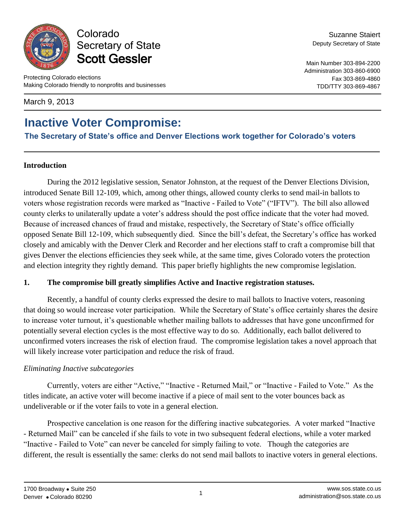

Colorado Secretary of State Scott Gessler

March 9, 2013

# **Inactive Voter Compromise:**

**The Secretary of State's office and Denver Elections work together for Colorado's voters**

#### **Introduction**

During the 2012 legislative session, Senator Johnston, at the request of the Denver Elections Division, introduced Senate Bill 12-109, which, among other things, allowed county clerks to send mail-in ballots to voters whose registration records were marked as "Inactive - Failed to Vote" ("IFTV"). The bill also allowed county clerks to unilaterally update a voter's address should the post office indicate that the voter had moved. Because of increased chances of fraud and mistake, respectively, the Secretary of State's office officially opposed Senate Bill 12-109, which subsequently died. Since the bill's defeat, the Secretary's office has worked closely and amicably with the Denver Clerk and Recorder and her elections staff to craft a compromise bill that gives Denver the elections efficiencies they seek while, at the same time, gives Colorado voters the protection and election integrity they rightly demand. This paper briefly highlights the new compromise legislation.

#### **1. The compromise bill greatly simplifies Active and Inactive registration statuses.**

Recently, a handful of county clerks expressed the desire to mail ballots to Inactive voters, reasoning that doing so would increase voter participation. While the Secretary of State's office certainly shares the desire to increase voter turnout, it's questionable whether mailing ballots to addresses that have gone unconfirmed for potentially several election cycles is the most effective way to do so. Additionally, each ballot delivered to unconfirmed voters increases the risk of election fraud. The compromise legislation takes a novel approach that will likely increase voter participation and reduce the risk of fraud.

### *Eliminating Inactive subcategories*

Currently, voters are either "Active," "Inactive - Returned Mail," or "Inactive - Failed to Vote." As the titles indicate, an active voter will become inactive if a piece of mail sent to the voter bounces back as undeliverable or if the voter fails to vote in a general election.

Prospective cancelation is one reason for the differing inactive subcategories. A voter marked "Inactive - Returned Mail" can be canceled if she fails to vote in two subsequent federal elections, while a voter marked "Inactive - Failed to Vote" can never be canceled for simply failing to vote. Though the categories are different, the result is essentially the same: clerks do not send mail ballots to inactive voters in general elections.

Fax 303-869-4860 TDD/TTY 303-869-4867

Suzanne Staiert Deputy Secretary of State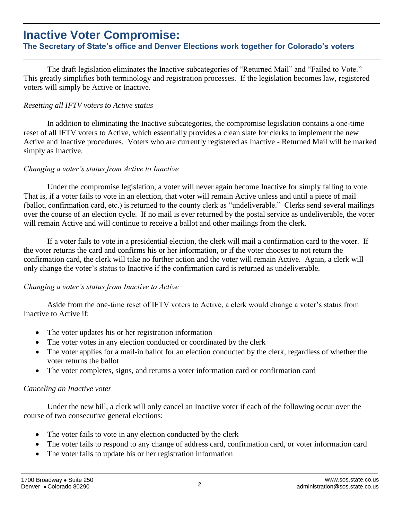# **Inactive Voter Compromise:**

### **The Secretary of State's office and Denver Elections work together for Colorado's voters**

The draft legislation eliminates the Inactive subcategories of "Returned Mail" and "Failed to Vote." This greatly simplifies both terminology and registration processes. If the legislation becomes law, registered voters will simply be Active or Inactive.

#### *Resetting all IFTV voters to Active status*

In addition to eliminating the Inactive subcategories, the compromise legislation contains a one-time reset of all IFTV voters to Active, which essentially provides a clean slate for clerks to implement the new Active and Inactive procedures. Voters who are currently registered as Inactive - Returned Mail will be marked simply as Inactive.

#### *Changing a voter's status from Active to Inactive*

Under the compromise legislation, a voter will never again become Inactive for simply failing to vote. That is, if a voter fails to vote in an election, that voter will remain Active unless and until a piece of mail (ballot, confirmation card, etc.) is returned to the county clerk as "undeliverable." Clerks send several mailings over the course of an election cycle. If no mail is ever returned by the postal service as undeliverable, the voter will remain Active and will continue to receive a ballot and other mailings from the clerk.

If a voter fails to vote in a presidential election, the clerk will mail a confirmation card to the voter. If the voter returns the card and confirms his or her information, or if the voter chooses to not return the confirmation card, the clerk will take no further action and the voter will remain Active. Again, a clerk will only change the voter's status to Inactive if the confirmation card is returned as undeliverable.

#### *Changing a voter's status from Inactive to Active*

Aside from the one-time reset of IFTV voters to Active, a clerk would change a voter's status from Inactive to Active if:

- The voter updates his or her registration information
- The voter votes in any election conducted or coordinated by the clerk
- The voter applies for a mail-in ballot for an election conducted by the clerk, regardless of whether the voter returns the ballot
- The voter completes, signs, and returns a voter information card or confirmation card

#### *Canceling an Inactive voter*

Under the new bill, a clerk will only cancel an Inactive voter if each of the following occur over the course of two consecutive general elections:

- The voter fails to vote in any election conducted by the clerk
- The voter fails to respond to any change of address card, confirmation card, or voter information card
- The voter fails to update his or her registration information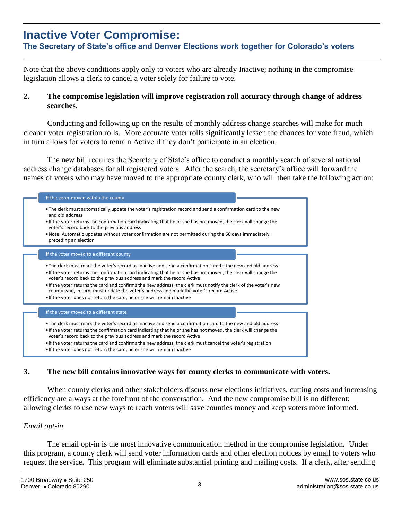# **Inactive Voter Compromise:**

**The Secretary of State's office and Denver Elections work together for Colorado's voters**

Note that the above conditions apply only to voters who are already Inactive; nothing in the compromise legislation allows a clerk to cancel a voter solely for failure to vote.

#### **2. The compromise legislation will improve registration roll accuracy through change of address searches.**

Conducting and following up on the results of monthly address change searches will make for much cleaner voter registration rolls. More accurate voter rolls significantly lessen the chances for vote fraud, which in turn allows for voters to remain Active if they don't participate in an election.

The new bill requires the Secretary of State's office to conduct a monthly search of several national address change databases for all registered voters. After the search, the secretary's office will forward the names of voters who may have moved to the appropriate county clerk, who will then take the following action:

| If the voter moved within the county                                                                                                                                                                                                                                                                                                                                                                                                                                                                                                                                                                |
|-----------------------------------------------------------------------------------------------------------------------------------------------------------------------------------------------------------------------------------------------------------------------------------------------------------------------------------------------------------------------------------------------------------------------------------------------------------------------------------------------------------------------------------------------------------------------------------------------------|
| • The clerk must automatically update the voter's registration record and send a confirmation card to the new<br>and old address                                                                                                                                                                                                                                                                                                                                                                                                                                                                    |
| • If the voter returns the confirmation card indicating that he or she has not moved, the clerk will change the<br>voter's record back to the previous address                                                                                                                                                                                                                                                                                                                                                                                                                                      |
| • Note: Automatic updates without voter confirmation are not permitted during the 60 days immediately<br>preceding an election                                                                                                                                                                                                                                                                                                                                                                                                                                                                      |
| If the voter moved to a different county                                                                                                                                                                                                                                                                                                                                                                                                                                                                                                                                                            |
| • The clerk must mark the voter's record as Inactive and send a confirmation card to the new and old address<br>• If the voter returns the confirmation card indicating that he or she has not moved, the clerk will change the<br>voter's record back to the previous address and mark the record Active<br>• If the voter returns the card and confirms the new address, the clerk must notify the clerk of the voter's new<br>county who, in turn, must update the voter's address and mark the voter's record Active<br>. If the voter does not return the card, he or she will remain Inactive |
| If the voter moved to a different state                                                                                                                                                                                                                                                                                                                                                                                                                                                                                                                                                             |
| • The clerk must mark the voter's record as Inactive and send a confirmation card to the new and old address<br>. If the voter returns the confirmation card indicating that he or she has not moved, the clerk will change the<br>voter's record back to the previous address and mark the record Active                                                                                                                                                                                                                                                                                           |
| • If the voter returns the card and confirms the new address, the clerk must cancel the voter's registration<br>• If the voter does not return the card, he or she will remain Inactive                                                                                                                                                                                                                                                                                                                                                                                                             |

### **3. The new bill contains innovative ways for county clerks to communicate with voters.**

When county clerks and other stakeholders discuss new elections initiatives, cutting costs and increasing efficiency are always at the forefront of the conversation. And the new compromise bill is no different; allowing clerks to use new ways to reach voters will save counties money and keep voters more informed.

#### *Email opt-in*

The email opt-in is the most innovative communication method in the compromise legislation. Under this program, a county clerk will send voter information cards and other election notices by email to voters who request the service. This program will eliminate substantial printing and mailing costs. If a clerk, after sending